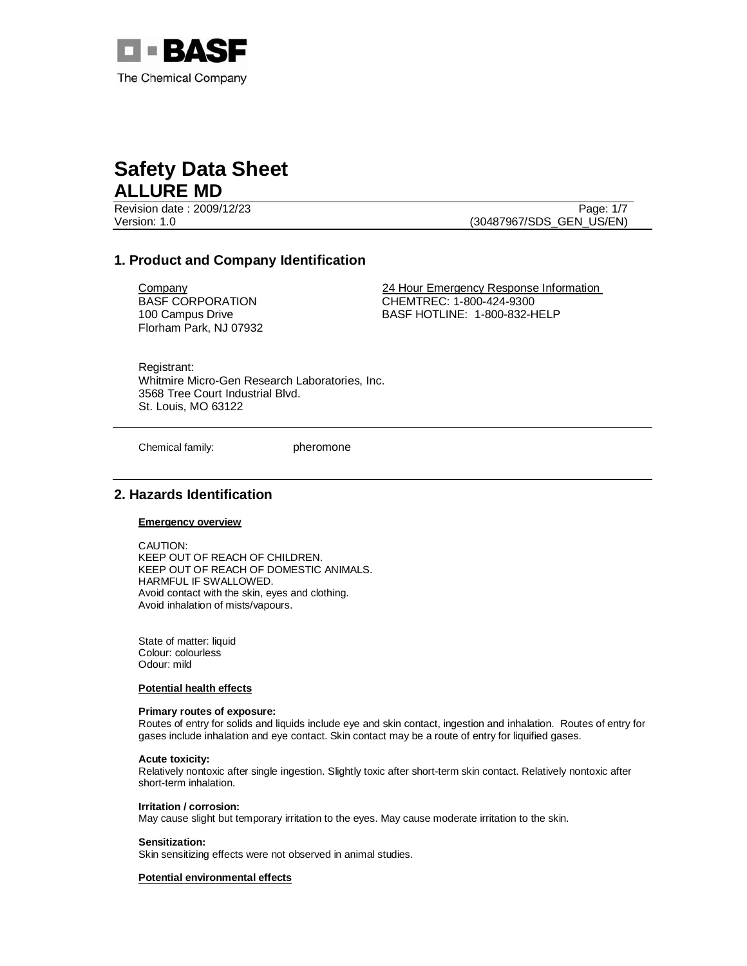

Revision date : 2009/12/23 Page: 1/7

Version: 1.0 (30487967/SDS\_GEN\_US/EN)

## **1. Product and Company Identification**

BASF CORPORATION 100 Campus Drive Florham Park, NJ 07932

**Company 24 Hour Emergency Response Information** CHEMTREC: 1-800-424-9300 BASF HOTLINE: 1-800-832-HELP

Registrant: Whitmire Micro-Gen Research Laboratories, Inc. 3568 Tree Court Industrial Blvd. St. Louis, MO 63122

Chemical family: pheromone

### **2. Hazards Identification**

### **Emergency overview**

CAUTION: KEEP OUT OF REACH OF CHILDREN. KEEP OUT OF REACH OF DOMESTIC ANIMALS. HARMFUL IF SWALLOWED. Avoid contact with the skin, eyes and clothing. Avoid inhalation of mists/vapours.

State of matter: liquid Colour: colourless Odour: mild

### **Potential health effects**

### **Primary routes of exposure:**

Routes of entry for solids and liquids include eye and skin contact, ingestion and inhalation. Routes of entry for gases include inhalation and eye contact. Skin contact may be a route of entry for liquified gases.

### **Acute toxicity:**

Relatively nontoxic after single ingestion. Slightly toxic after short-term skin contact. Relatively nontoxic after short-term inhalation.

### **Irritation / corrosion:** May cause slight but temporary irritation to the eyes. May cause moderate irritation to the skin.

### **Sensitization:**

Skin sensitizing effects were not observed in animal studies.

### **Potential environmental effects**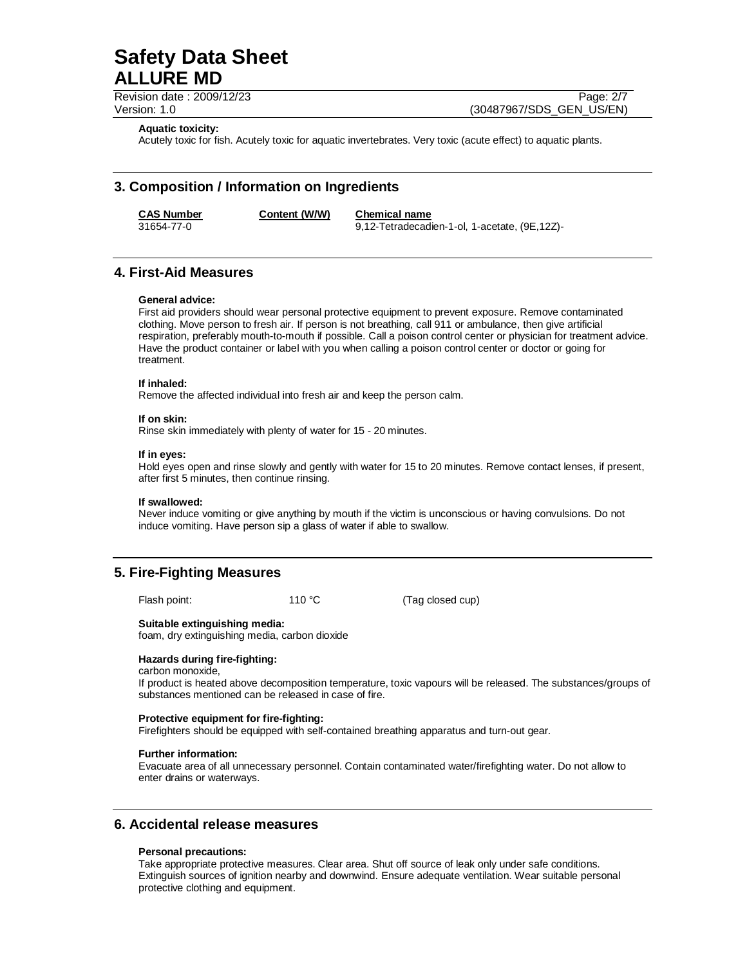Revision date : 2009/12/23 Page: 2/7

Version: 1.0 (30487967/SDS\_GEN\_US/EN)

### **Aquatic toxicity:**

Acutely toxic for fish. Acutely toxic for aquatic invertebrates. Very toxic (acute effect) to aquatic plants.

### **3. Composition / Information on Ingredients**

**CAS Number Content (W/W) Chemical name**

31654-77-0 9,12-Tetradecadien-1-ol, 1-acetate, (9E,12Z)-

### **4. First-Aid Measures**

### **General advice:**

First aid providers should wear personal protective equipment to prevent exposure. Remove contaminated clothing. Move person to fresh air. If person is not breathing, call 911 or ambulance, then give artificial respiration, preferably mouth-to-mouth if possible. Call a poison control center or physician for treatment advice. Have the product container or label with you when calling a poison control center or doctor or going for treatment.

### **If inhaled:**

Remove the affected individual into fresh air and keep the person calm.

#### **If on skin:**

Rinse skin immediately with plenty of water for 15 - 20 minutes.

### **If in eyes:**

Hold eyes open and rinse slowly and gently with water for 15 to 20 minutes. Remove contact lenses, if present, after first 5 minutes, then continue rinsing.

### **If swallowed:**

Never induce vomiting or give anything by mouth if the victim is unconscious or having convulsions. Do not induce vomiting. Have person sip a glass of water if able to swallow.

### **5. Fire-Fighting Measures**

Flash point: 110 °C (Tag closed cup)

### **Suitable extinguishing media:**

foam, dry extinguishing media, carbon dioxide

### **Hazards during fire-fighting:**

carbon monoxide,

If product is heated above decomposition temperature, toxic vapours will be released. The substances/groups of substances mentioned can be released in case of fire.

### **Protective equipment for fire-fighting:**

Firefighters should be equipped with self-contained breathing apparatus and turn-out gear.

### **Further information:**

Evacuate area of all unnecessary personnel. Contain contaminated water/firefighting water. Do not allow to enter drains or waterways.

### **6. Accidental release measures**

### **Personal precautions:**

Take appropriate protective measures. Clear area. Shut off source of leak only under safe conditions. Extinguish sources of ignition nearby and downwind. Ensure adequate ventilation. Wear suitable personal protective clothing and equipment.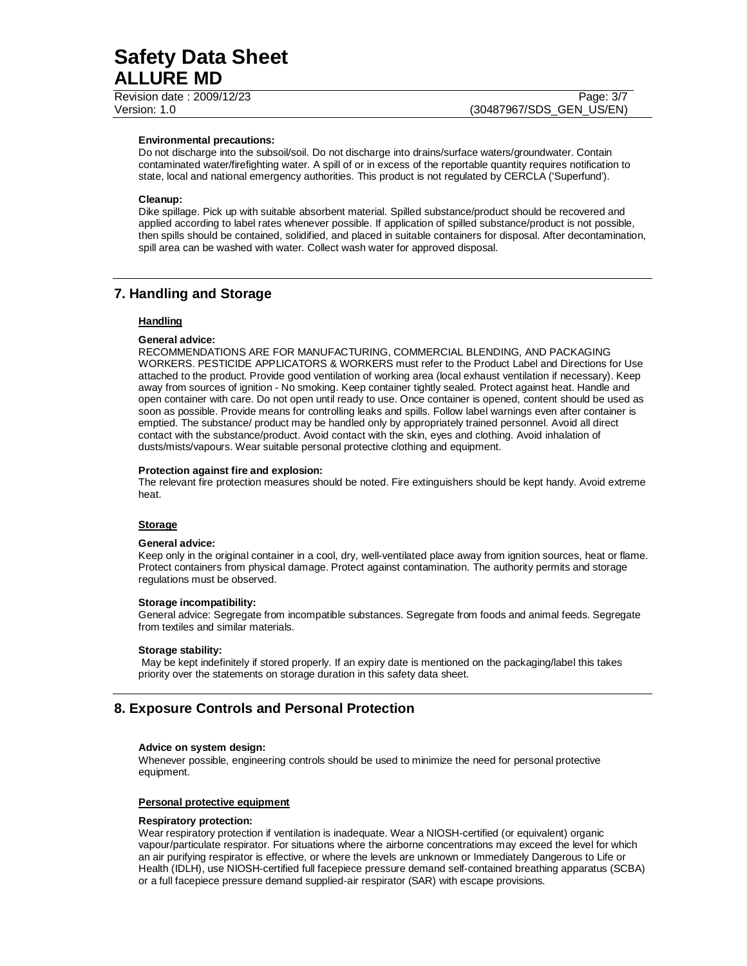Revision date : 2009/12/23 Page: 3/7

### **Environmental precautions:**

Do not discharge into the subsoil/soil. Do not discharge into drains/surface waters/groundwater. Contain contaminated water/firefighting water. A spill of or in excess of the reportable quantity requires notification to state, local and national emergency authorities. This product is not regulated by CERCLA ('Superfund').

### **Cleanup:**

Dike spillage. Pick up with suitable absorbent material. Spilled substance/product should be recovered and applied according to label rates whenever possible. If application of spilled substance/product is not possible, then spills should be contained, solidified, and placed in suitable containers for disposal. After decontamination, spill area can be washed with water. Collect wash water for approved disposal.

### **7. Handling and Storage**

### **Handling**

### **General advice:**

RECOMMENDATIONS ARE FOR MANUFACTURING, COMMERCIAL BLENDING, AND PACKAGING WORKERS. PESTICIDE APPLICATORS & WORKERS must refer to the Product Label and Directions for Use attached to the product. Provide good ventilation of working area (local exhaust ventilation if necessary). Keep away from sources of ignition - No smoking. Keep container tightly sealed. Protect against heat. Handle and open container with care. Do not open until ready to use. Once container is opened, content should be used as soon as possible. Provide means for controlling leaks and spills. Follow label warnings even after container is emptied. The substance/ product may be handled only by appropriately trained personnel. Avoid all direct contact with the substance/product. Avoid contact with the skin, eyes and clothing. Avoid inhalation of dusts/mists/vapours. Wear suitable personal protective clothing and equipment.

### **Protection against fire and explosion:**

The relevant fire protection measures should be noted. Fire extinguishers should be kept handy. Avoid extreme heat.

### **Storage**

### **General advice:**

Keep only in the original container in a cool, dry, well-ventilated place away from ignition sources, heat or flame. Protect containers from physical damage. Protect against contamination. The authority permits and storage regulations must be observed.

### **Storage incompatibility:**

General advice: Segregate from incompatible substances. Segregate from foods and animal feeds. Segregate from textiles and similar materials.

### **Storage stability:**

 May be kept indefinitely if stored properly. If an expiry date is mentioned on the packaging/label this takes priority over the statements on storage duration in this safety data sheet.

# **8. Exposure Controls and Personal Protection**

### **Advice on system design:**

Whenever possible, engineering controls should be used to minimize the need for personal protective equipment.

### **Personal protective equipment**

### **Respiratory protection:**

Wear respiratory protection if ventilation is inadequate. Wear a NIOSH-certified (or equivalent) organic vapour/particulate respirator. For situations where the airborne concentrations may exceed the level for which an air purifying respirator is effective, or where the levels are unknown or Immediately Dangerous to Life or Health (IDLH), use NIOSH-certified full facepiece pressure demand self-contained breathing apparatus (SCBA) or a full facepiece pressure demand supplied-air respirator (SAR) with escape provisions.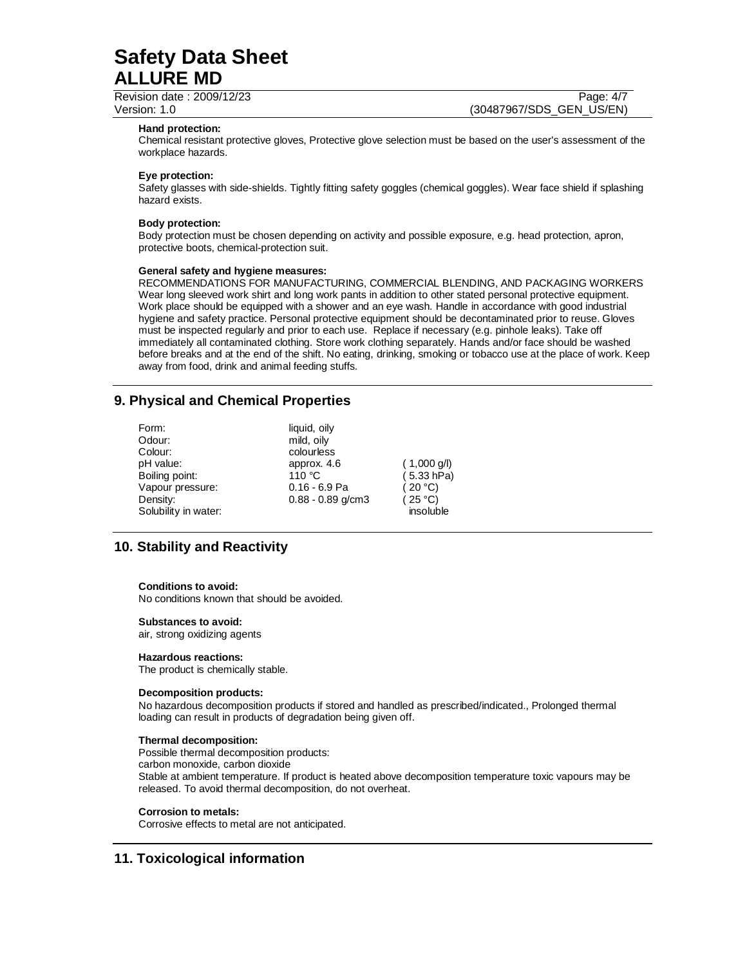Revision date : 2009/12/23 Page: 4/7

Version: 1.0 (30487967/SDS\_GEN\_US/EN)

### **Hand protection:**

Chemical resistant protective gloves, Protective glove selection must be based on the user's assessment of the workplace hazards.

### **Eye protection:**

Safety glasses with side-shields. Tightly fitting safety goggles (chemical goggles). Wear face shield if splashing hazard exists.

### **Body protection:**

Body protection must be chosen depending on activity and possible exposure, e.g. head protection, apron, protective boots, chemical-protection suit.

### **General safety and hygiene measures:**

RECOMMENDATIONS FOR MANUFACTURING, COMMERCIAL BLENDING, AND PACKAGING WORKERS Wear long sleeved work shirt and long work pants in addition to other stated personal protective equipment. Work place should be equipped with a shower and an eye wash. Handle in accordance with good industrial hygiene and safety practice. Personal protective equipment should be decontaminated prior to reuse. Gloves must be inspected regularly and prior to each use. Replace if necessary (e.g. pinhole leaks). Take off immediately all contaminated clothing. Store work clothing separately. Hands and/or face should be washed before breaks and at the end of the shift. No eating, drinking, smoking or tobacco use at the place of work. Keep away from food, drink and animal feeding stuffs.

# **9. Physical and Chemical Properties**

| Form:                            | liquid, oily        |                       |
|----------------------------------|---------------------|-----------------------|
| Odour:                           | mild, oily          |                       |
| Colour:                          | colourless          |                       |
| pH value:                        | approx. 4.6         | $(1,000 \text{ q/l})$ |
| Boiling point:                   | 110 $\degree$ C     | (5.33 hPa)            |
| Vapour pressure:                 | $0.16 - 6.9$ Pa     | (20 °C)               |
| Density:<br>Solubility in water: | $0.88 - 0.89$ g/cm3 | (25 °C)<br>insoluble  |
|                                  |                     |                       |

# **10. Stability and Reactivity**

### **Conditions to avoid:**

No conditions known that should be avoided.

### **Substances to avoid:**

air, strong oxidizing agents

### **Hazardous reactions:**

The product is chemically stable.

### **Decomposition products:**

No hazardous decomposition products if stored and handled as prescribed/indicated., Prolonged thermal loading can result in products of degradation being given off.

### **Thermal decomposition:**

Possible thermal decomposition products:

carbon monoxide, carbon dioxide

Stable at ambient temperature. If product is heated above decomposition temperature toxic vapours may be released. To avoid thermal decomposition, do not overheat.

### **Corrosion to metals:**

Corrosive effects to metal are not anticipated.

# **11. Toxicological information**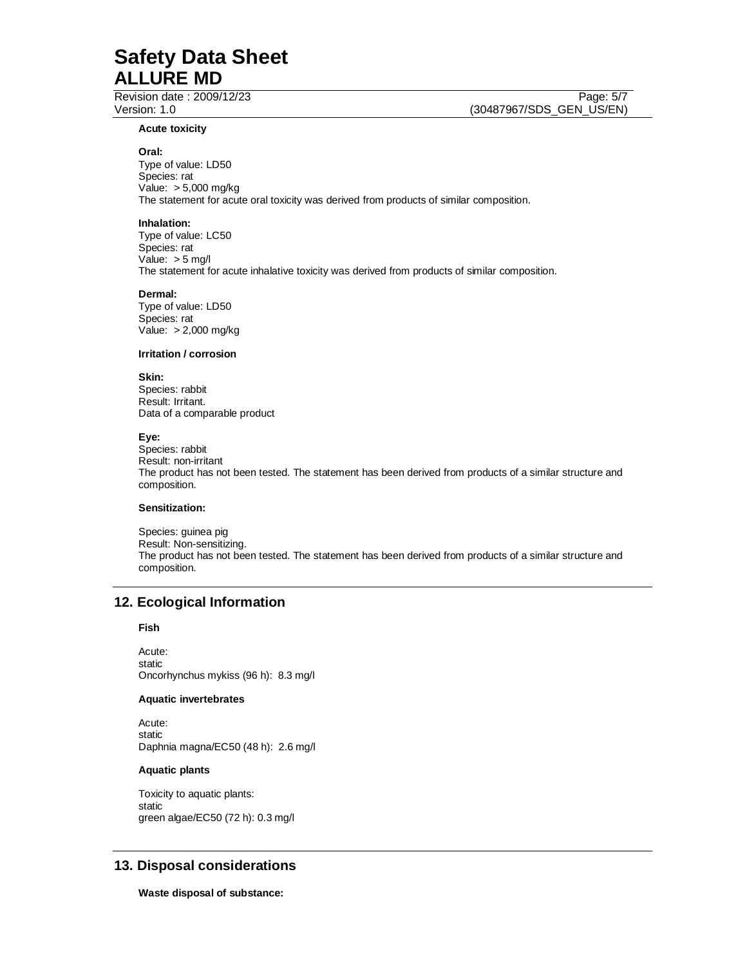Revision date : 2009/12/23 Page: 5/7

### **Acute toxicity**

### **Oral:**

Type of value: LD50 Species: rat Value: > 5,000 mg/kg The statement for acute oral toxicity was derived from products of similar composition.

### **Inhalation:**

Type of value: LC50 Species: rat Value:  $> 5$  mg/l The statement for acute inhalative toxicity was derived from products of similar composition.

### **Dermal:**

Type of value: LD50 Species: rat Value: > 2,000 mg/kg

### **Irritation / corrosion**

**Skin:** 

Species: rabbit Result: Irritant. Data of a comparable product

### **Eye:**

Species: rabbit Result: non-irritant The product has not been tested. The statement has been derived from products of a similar structure and composition.

### **Sensitization:**

Species: guinea pig Result: Non-sensitizing. The product has not been tested. The statement has been derived from products of a similar structure and composition.

### **12. Ecological Information**

### **Fish**

Acute: static Oncorhynchus mykiss (96 h): 8.3 mg/l

### **Aquatic invertebrates**

Acute: static Daphnia magna/EC50 (48 h): 2.6 mg/l

### **Aquatic plants**

Toxicity to aquatic plants: static green algae/EC50 (72 h): 0.3 mg/l

### **13. Disposal considerations**

**Waste disposal of substance:**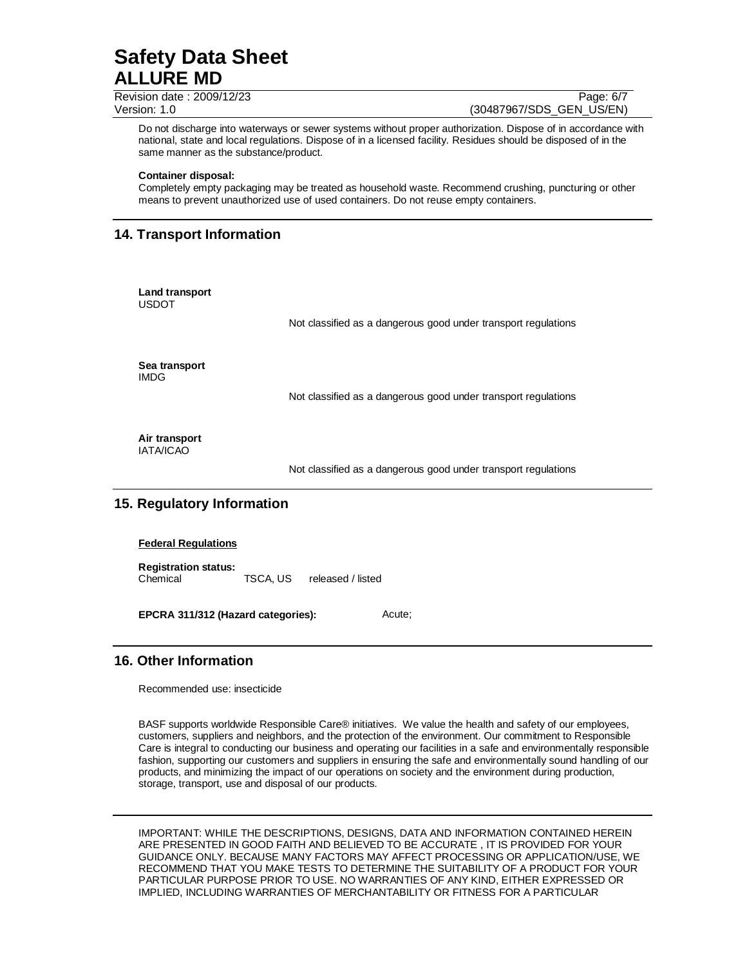Revision date : 2009/12/23 Page: 6/7

Version: 1.0 (30487967/SDS\_GEN\_US/EN)

Do not discharge into waterways or sewer systems without proper authorization. Dispose of in accordance with national, state and local regulations. Dispose of in a licensed facility. Residues should be disposed of in the same manner as the substance/product.

### **Container disposal:**

Completely empty packaging may be treated as household waste. Recommend crushing, puncturing or other means to prevent unauthorized use of used containers. Do not reuse empty containers.

# **14. Transport Information**

| Land transport<br><b>USDOT</b>    | Not classified as a dangerous good under transport regulations |
|-----------------------------------|----------------------------------------------------------------|
| Sea transport<br><b>IMDG</b>      | Not classified as a dangerous good under transport regulations |
| Air transport<br><b>IATA/ICAO</b> |                                                                |

Not classified as a dangerous good under transport regulations

# **15. Regulatory Information**

**Federal Regulations**

**Registration status:**  Chemical TSCA, US released / listed

**EPCRA 311/312 (Hazard categories):** Acute;

# **16. Other Information**

Recommended use: insecticide

BASF supports worldwide Responsible Care® initiatives. We value the health and safety of our employees, customers, suppliers and neighbors, and the protection of the environment. Our commitment to Responsible Care is integral to conducting our business and operating our facilities in a safe and environmentally responsible fashion, supporting our customers and suppliers in ensuring the safe and environmentally sound handling of our products, and minimizing the impact of our operations on society and the environment during production, storage, transport, use and disposal of our products.

IMPORTANT: WHILE THE DESCRIPTIONS, DESIGNS, DATA AND INFORMATION CONTAINED HEREIN ARE PRESENTED IN GOOD FAITH AND BELIEVED TO BE ACCURATE , IT IS PROVIDED FOR YOUR GUIDANCE ONLY. BECAUSE MANY FACTORS MAY AFFECT PROCESSING OR APPLICATION/USE, WE RECOMMEND THAT YOU MAKE TESTS TO DETERMINE THE SUITABILITY OF A PRODUCT FOR YOUR PARTICULAR PURPOSE PRIOR TO USE. NO WARRANTIES OF ANY KIND, EITHER EXPRESSED OR IMPLIED, INCLUDING WARRANTIES OF MERCHANTABILITY OR FITNESS FOR A PARTICULAR